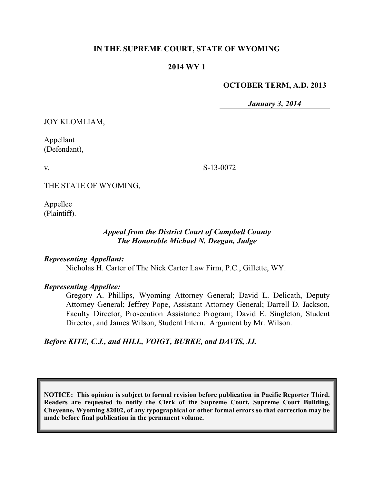### **IN THE SUPREME COURT, STATE OF WYOMING**

#### **2014 WY 1**

#### **OCTOBER TERM, A.D. 2013**

*January 3, 2014*

JOY KLOMLIAM,

Appellant (Defendant),

v.

S-13-0072

THE STATE OF WYOMING,

Appellee (Plaintiff).

#### *Appeal from the District Court of Campbell County The Honorable Michael N. Deegan, Judge*

*Representing Appellant:*

Nicholas H. Carter of The Nick Carter Law Firm, P.C., Gillette, WY.

#### *Representing Appellee:*

Gregory A. Phillips, Wyoming Attorney General; David L. Delicath, Deputy Attorney General; Jeffrey Pope, Assistant Attorney General; Darrell D. Jackson, Faculty Director, Prosecution Assistance Program; David E. Singleton, Student Director, and James Wilson, Student Intern. Argument by Mr. Wilson.

*Before KITE, C.J., and HILL, VOIGT, BURKE, and DAVIS, JJ.*

**NOTICE: This opinion is subject to formal revision before publication in Pacific Reporter Third. Readers are requested to notify the Clerk of the Supreme Court, Supreme Court Building, Cheyenne, Wyoming 82002, of any typographical or other formal errors so that correction may be made before final publication in the permanent volume.**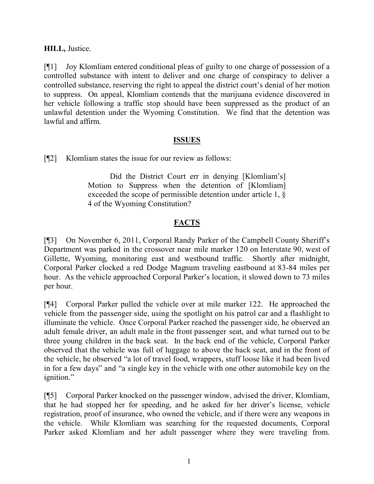## **HILL,** Justice.

[¶1] Joy Klomliam entered conditional pleas of guilty to one charge of possession of a controlled substance with intent to deliver and one charge of conspiracy to deliver a controlled substance, reserving the right to appeal the district court's denial of her motion to suppress. On appeal, Klomliam contends that the marijuana evidence discovered in her vehicle following a traffic stop should have been suppressed as the product of an unlawful detention under the Wyoming Constitution. We find that the detention was lawful and affirm.

## **ISSUES**

[¶2] Klomliam states the issue for our review as follows:

Did the District Court err in denying [Klomliam's] Motion to Suppress when the detention of [Klomliam] exceeded the scope of permissible detention under article 1, § 4 of the Wyoming Constitution?

# **FACTS**

[¶3] On November 6, 2011, Corporal Randy Parker of the Campbell County Sheriff's Department was parked in the crossover near mile marker 120 on Interstate 90, west of Gillette, Wyoming, monitoring east and westbound traffic. Shortly after midnight, Corporal Parker clocked a red Dodge Magnum traveling eastbound at 83-84 miles per hour. As the vehicle approached Corporal Parker's location, it slowed down to 73 miles per hour.

[¶4] Corporal Parker pulled the vehicle over at mile marker 122. He approached the vehicle from the passenger side, using the spotlight on his patrol car and a flashlight to illuminate the vehicle. Once Corporal Parker reached the passenger side, he observed an adult female driver, an adult male in the front passenger seat, and what turned out to be three young children in the back seat. In the back end of the vehicle, Corporal Parker observed that the vehicle was full of luggage to above the back seat, and in the front of the vehicle, he observed "a lot of travel food, wrappers, stuff loose like it had been lived in for a few days" and "a single key in the vehicle with one other automobile key on the ignition."

[¶5] Corporal Parker knocked on the passenger window, advised the driver, Klomliam, that he had stopped her for speeding, and he asked for her driver's license, vehicle registration, proof of insurance, who owned the vehicle, and if there were any weapons in the vehicle. While Klomliam was searching for the requested documents, Corporal Parker asked Klomliam and her adult passenger where they were traveling from.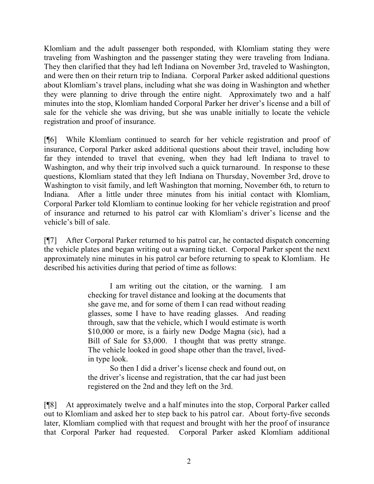Klomliam and the adult passenger both responded, with Klomliam stating they were traveling from Washington and the passenger stating they were traveling from Indiana. They then clarified that they had left Indiana on November 3rd, traveled to Washington, and were then on their return trip to Indiana. Corporal Parker asked additional questions about Klomliam's travel plans, including what she was doing in Washington and whether they were planning to drive through the entire night. Approximately two and a half minutes into the stop, Klomliam handed Corporal Parker her driver's license and a bill of sale for the vehicle she was driving, but she was unable initially to locate the vehicle registration and proof of insurance.

[¶6] While Klomliam continued to search for her vehicle registration and proof of insurance, Corporal Parker asked additional questions about their travel, including how far they intended to travel that evening, when they had left Indiana to travel to Washington, and why their trip involved such a quick turnaround. In response to these questions, Klomliam stated that they left Indiana on Thursday, November 3rd, drove to Washington to visit family, and left Washington that morning, November 6th, to return to Indiana. After a little under three minutes from his initial contact with Klomliam, Corporal Parker told Klomliam to continue looking for her vehicle registration and proof of insurance and returned to his patrol car with Klomliam's driver's license and the vehicle's bill of sale.

[¶7] After Corporal Parker returned to his patrol car, he contacted dispatch concerning the vehicle plates and began writing out a warning ticket. Corporal Parker spent the next approximately nine minutes in his patrol car before returning to speak to Klomliam. He described his activities during that period of time as follows:

> I am writing out the citation, or the warning. I am checking for travel distance and looking at the documents that she gave me, and for some of them I can read without reading glasses, some I have to have reading glasses. And reading through, saw that the vehicle, which I would estimate is worth \$10,000 or more, is a fairly new Dodge Magna (sic), had a Bill of Sale for \$3,000. I thought that was pretty strange. The vehicle looked in good shape other than the travel, livedin type look.

> So then I did a driver's license check and found out, on the driver's license and registration, that the car had just been registered on the 2nd and they left on the 3rd.

[¶8] At approximately twelve and a half minutes into the stop, Corporal Parker called out to Klomliam and asked her to step back to his patrol car. About forty-five seconds later, Klomliam complied with that request and brought with her the proof of insurance that Corporal Parker had requested. Corporal Parker asked Klomliam additional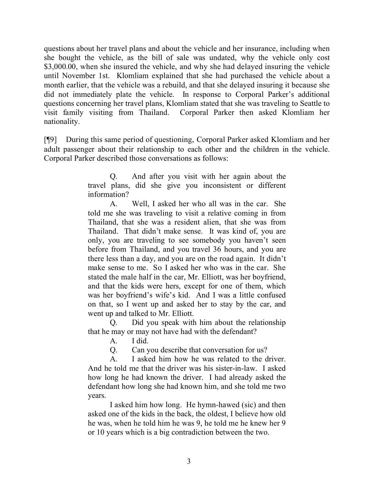questions about her travel plans and about the vehicle and her insurance, including when she bought the vehicle, as the bill of sale was undated, why the vehicle only cost \$3,000.00, when she insured the vehicle, and why she had delayed insuring the vehicle until November 1st. Klomliam explained that she had purchased the vehicle about a month earlier, that the vehicle was a rebuild, and that she delayed insuring it because she did not immediately plate the vehicle. In response to Corporal Parker's additional questions concerning her travel plans, Klomliam stated that she was traveling to Seattle to visit family visiting from Thailand. Corporal Parker then asked Klomliam her nationality.

[¶9] During this same period of questioning, Corporal Parker asked Klomliam and her adult passenger about their relationship to each other and the children in the vehicle. Corporal Parker described those conversations as follows:

> Q. And after you visit with her again about the travel plans, did she give you inconsistent or different information?

> A. Well, I asked her who all was in the car. She told me she was traveling to visit a relative coming in from Thailand, that she was a resident alien, that she was from Thailand. That didn't make sense. It was kind of, you are only, you are traveling to see somebody you haven't seen before from Thailand, and you travel 36 hours, and you are there less than a day, and you are on the road again. It didn't make sense to me. So I asked her who was in the car. She stated the male half in the car, Mr. Elliott, was her boyfriend, and that the kids were hers, except for one of them, which was her boyfriend's wife's kid. And I was a little confused on that, so I went up and asked her to stay by the car, and went up and talked to Mr. Elliott.

> Q. Did you speak with him about the relationship that he may or may not have had with the defendant?

A. I did.

Q. Can you describe that conversation for us?

A. I asked him how he was related to the driver. And he told me that the driver was his sister-in-law. I asked how long he had known the driver. I had already asked the defendant how long she had known him, and she told me two years.

I asked him how long. He hymn-hawed (sic) and then asked one of the kids in the back, the oldest, I believe how old he was, when he told him he was 9, he told me he knew her 9 or 10 years which is a big contradiction between the two.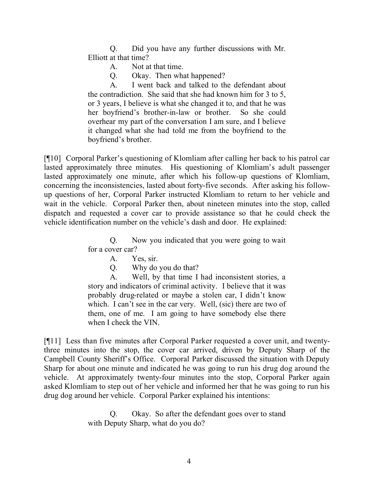Q. Did you have any further discussions with Mr. Elliott at that time?

A. Not at that time.

Q. Okay. Then what happened?

A. I went back and talked to the defendant about the contradiction. She said that she had known him for 3 to 5, or 3 years, I believe is what she changed it to, and that he was her boyfriend's brother-in-law or brother. So she could overhear my part of the conversation I am sure, and I believe it changed what she had told me from the boyfriend to the boyfriend's brother.

[¶10] Corporal Parker's questioning of Klomliam after calling her back to his patrol car lasted approximately three minutes. His questioning of Klomliam's adult passenger lasted approximately one minute, after which his follow-up questions of Klomliam, concerning the inconsistencies, lasted about forty-five seconds. After asking his followup questions of her, Corporal Parker instructed Klomliam to return to her vehicle and wait in the vehicle. Corporal Parker then, about nineteen minutes into the stop, called dispatch and requested a cover car to provide assistance so that he could check the vehicle identification number on the vehicle's dash and door. He explained:

> Q. Now you indicated that you were going to wait for a cover car?

- A. Yes, sir.
- Q. Why do you do that?

A. Well, by that time I had inconsistent stories, a story and indicators of criminal activity. I believe that it was probably drug-related or maybe a stolen car, I didn't know which. I can't see in the car very. Well, (sic) there are two of them, one of me. I am going to have somebody else there when I check the VIN.

[¶11] Less than five minutes after Corporal Parker requested a cover unit, and twentythree minutes into the stop, the cover car arrived, driven by Deputy Sharp of the Campbell County Sheriff's Office. Corporal Parker discussed the situation with Deputy Sharp for about one minute and indicated he was going to run his drug dog around the vehicle. At approximately twenty-four minutes into the stop, Corporal Parker again asked Klomliam to step out of her vehicle and informed her that he was going to run his drug dog around her vehicle. Corporal Parker explained his intentions:

> Q. Okay. So after the defendant goes over to stand with Deputy Sharp, what do you do?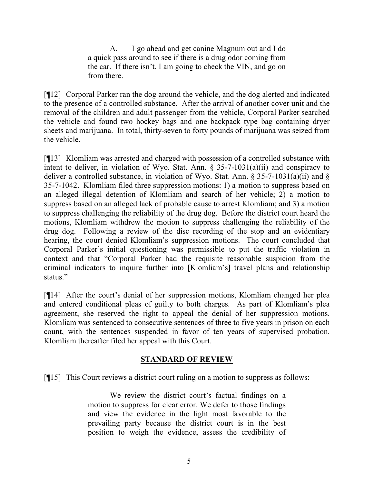A. I go ahead and get canine Magnum out and I do a quick pass around to see if there is a drug odor coming from the car. If there isn't, I am going to check the VIN, and go on from there.

[¶12] Corporal Parker ran the dog around the vehicle, and the dog alerted and indicated to the presence of a controlled substance. After the arrival of another cover unit and the removal of the children and adult passenger from the vehicle, Corporal Parker searched the vehicle and found two hockey bags and one backpack type bag containing dryer sheets and marijuana. In total, thirty-seven to forty pounds of marijuana was seized from the vehicle.

[¶13] Klomliam was arrested and charged with possession of a controlled substance with intent to deliver, in violation of Wyo. Stat. Ann. § 35-7-1031(a)(ii) and conspiracy to deliver a controlled substance, in violation of Wyo. Stat. Ann. § 35-7-1031(a)(ii) and § 35-7-1042. Klomliam filed three suppression motions: 1) a motion to suppress based on an alleged illegal detention of Klomliam and search of her vehicle; 2) a motion to suppress based on an alleged lack of probable cause to arrest Klomliam; and 3) a motion to suppress challenging the reliability of the drug dog. Before the district court heard the motions, Klomliam withdrew the motion to suppress challenging the reliability of the drug dog. Following a review of the disc recording of the stop and an evidentiary hearing, the court denied Klomliam's suppression motions. The court concluded that Corporal Parker's initial questioning was permissible to put the traffic violation in context and that "Corporal Parker had the requisite reasonable suspicion from the criminal indicators to inquire further into [Klomliam's] travel plans and relationship status."

[¶14] After the court's denial of her suppression motions, Klomliam changed her plea and entered conditional pleas of guilty to both charges. As part of Klomliam's plea agreement, she reserved the right to appeal the denial of her suppression motions. Klomliam was sentenced to consecutive sentences of three to five years in prison on each count, with the sentences suspended in favor of ten years of supervised probation. Klomliam thereafter filed her appeal with this Court.

## **STANDARD OF REVIEW**

[¶15] This Court reviews a district court ruling on a motion to suppress as follows:

We review the district court's factual findings on a motion to suppress for clear error. We defer to those findings and view the evidence in the light most favorable to the prevailing party because the district court is in the best position to weigh the evidence, assess the credibility of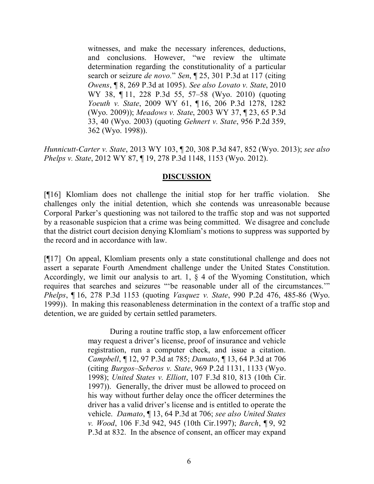witnesses, and make the necessary inferences, deductions, and conclusions. However, "we review the ultimate determination regarding the constitutionality of a particular search or seizure *de novo.*" *Sen*, ¶ 25, 301 P.3d at 117 (citing *Owens*, ¶ 8, 269 P.3d at 1095). *See also Lovato v. State*, 2010 WY 38, ¶ 11, 228 P.3d 55, 57–58 (Wyo. 2010) (quoting *Yoeuth v. State*, 2009 WY 61, ¶ 16, 206 P.3d 1278, 1282 (Wyo. 2009)); *Meadows v. State*, 2003 WY 37, ¶ 23, 65 P.3d 33, 40 (Wyo. 2003) (quoting *Gehnert v. State*, 956 P.2d 359, 362 (Wyo. 1998)).

*Hunnicutt-Carter v. State*, 2013 WY 103, ¶ 20, 308 P.3d 847, 852 (Wyo. 2013); *see also Phelps v. State*, 2012 WY 87, ¶ 19, 278 P.3d 1148, 1153 (Wyo. 2012).

## **DISCUSSION**

[¶16] Klomliam does not challenge the initial stop for her traffic violation. She challenges only the initial detention, which she contends was unreasonable because Corporal Parker's questioning was not tailored to the traffic stop and was not supported by a reasonable suspicion that a crime was being committed. We disagree and conclude that the district court decision denying Klomliam's motions to suppress was supported by the record and in accordance with law.

[¶17] On appeal, Klomliam presents only a state constitutional challenge and does not assert a separate Fourth Amendment challenge under the United States Constitution. Accordingly, we limit our analysis to art. 1,  $\S$  4 of the Wyoming Constitution, which requires that searches and seizures "'be reasonable under all of the circumstances.'" *Phelps*, ¶ 16, 278 P.3d 1153 (quoting *Vasquez v. State*, 990 P.2d 476, 485-86 (Wyo. 1999)). In making this reasonableness determination in the context of a traffic stop and detention, we are guided by certain settled parameters.

> During a routine traffic stop, a law enforcement officer may request a driver's license, proof of insurance and vehicle registration, run a computer check, and issue a citation. *Campbell*, ¶ 12, 97 P.3d at 785; *Damato*, ¶ 13, 64 P.3d at 706 (citing *Burgos–Seberos v. State*, 969 P.2d 1131, 1133 (Wyo. 1998); *United States v. Elliott*, 107 F.3d 810, 813 (10th Cir. 1997)). Generally, the driver must be allowed to proceed on his way without further delay once the officer determines the driver has a valid driver's license and is entitled to operate the vehicle. *Damato*, ¶ 13, 64 P.3d at 706; *see also United States v. Wood*, 106 F.3d 942, 945 (10th Cir.1997); *Barch*, ¶ 9, 92 P.3d at 832. In the absence of consent, an officer may expand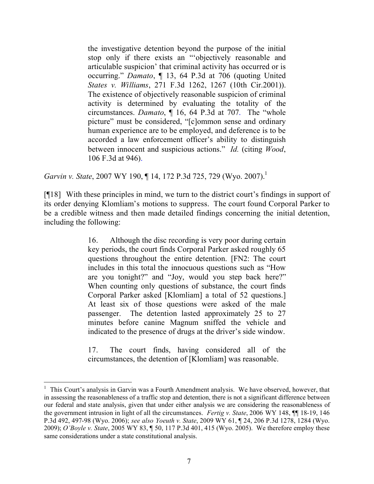the investigative detention beyond the purpose of the initial stop only if there exists an "'objectively reasonable and articulable suspicion' that criminal activity has occurred or is occurring." *Damato*, ¶ 13, 64 P.3d at 706 (quoting United *States v. Williams*, 271 F.3d 1262, 1267 (10th Cir.2001)). The existence of objectively reasonable suspicion of criminal activity is determined by evaluating the totality of the circumstances. *Damato*, ¶ 16, 64 P.3d at 707. The "whole picture" must be considered, "[c]ommon sense and ordinary human experience are to be employed, and deference is to be accorded a law enforcement officer's ability to distinguish between innocent and suspicious actions." *Id.* (citing *Wood*, 106 F.3d at 946).

*Garvin v. State*, 2007 WY 190, ¶ 14, 172 P.3d 725, 729 (Wyo. 2007).<sup>1</sup>

[¶18] With these principles in mind, we turn to the district court's findings in support of its order denying Klomliam's motions to suppress. The court found Corporal Parker to be a credible witness and then made detailed findings concerning the initial detention, including the following:

> 16. Although the disc recording is very poor during certain key periods, the court finds Corporal Parker asked roughly 65 questions throughout the entire detention. [FN2: The court includes in this total the innocuous questions such as "How are you tonight?" and "Joy, would you step back here?" When counting only questions of substance, the court finds Corporal Parker asked [Klomliam] a total of 52 questions.] At least six of those questions were asked of the male passenger. The detention lasted approximately 25 to 27 minutes before canine Magnum sniffed the vehicle and indicated to the presence of drugs at the driver's side window.

> 17. The court finds, having considered all of the circumstances, the detention of [Klomliam] was reasonable.

 $\overline{a}$ 

<sup>&</sup>lt;sup>1</sup> This Court's analysis in Garvin was a Fourth Amendment analysis. We have observed, however, that in assessing the reasonableness of a traffic stop and detention, there is not a significant difference between our federal and state analysis, given that under either analysis we are considering the reasonableness of the government intrusion in light of all the circumstances. *Fertig v. State*, 2006 WY 148, ¶¶ 18-19, 146 P.3d 492, 497-98 (Wyo. 2006); *see also Yoeuth v. State*, 2009 WY 61, ¶ 24, 206 P.3d 1278, 1284 (Wyo. 2009); *O'Boyle v. State*, 2005 WY 83, ¶ 50, 117 P.3d 401, 415 (Wyo. 2005). We therefore employ these same considerations under a state constitutional analysis.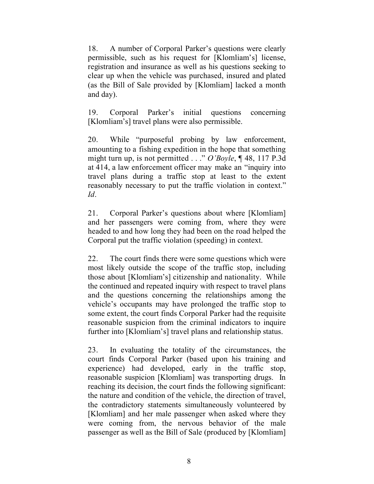18. A number of Corporal Parker's questions were clearly permissible, such as his request for [Klomliam's] license, registration and insurance as well as his questions seeking to clear up when the vehicle was purchased, insured and plated (as the Bill of Sale provided by [Klomliam] lacked a month and day).

19. Corporal Parker's initial questions concerning [Klomliam's] travel plans were also permissible.

20. While "purposeful probing by law enforcement, amounting to a fishing expedition in the hope that something might turn up, is not permitted . . ." *O'Boyle*, ¶ 48, 117 P.3d at 414, a law enforcement officer may make an "inquiry into travel plans during a traffic stop at least to the extent reasonably necessary to put the traffic violation in context." *Id*.

21. Corporal Parker's questions about where [Klomliam] and her passengers were coming from, where they were headed to and how long they had been on the road helped the Corporal put the traffic violation (speeding) in context.

22. The court finds there were some questions which were most likely outside the scope of the traffic stop, including those about [Klomliam's] citizenship and nationality. While the continued and repeated inquiry with respect to travel plans and the questions concerning the relationships among the vehicle's occupants may have prolonged the traffic stop to some extent, the court finds Corporal Parker had the requisite reasonable suspicion from the criminal indicators to inquire further into [Klomliam's] travel plans and relationship status.

23. In evaluating the totality of the circumstances, the court finds Corporal Parker (based upon his training and experience) had developed, early in the traffic stop, reasonable suspicion [Klomliam] was transporting drugs. In reaching its decision, the court finds the following significant: the nature and condition of the vehicle, the direction of travel, the contradictory statements simultaneously volunteered by [Klomliam] and her male passenger when asked where they were coming from, the nervous behavior of the male passenger as well as the Bill of Sale (produced by [Klomliam]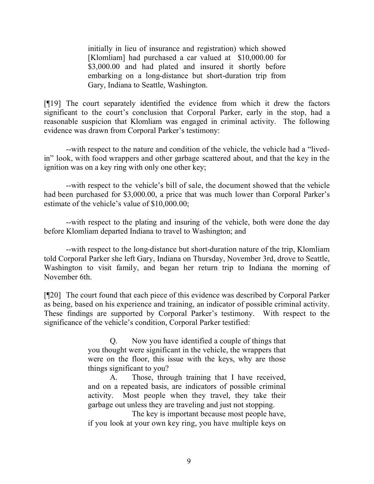initially in lieu of insurance and registration) which showed [Klomliam] had purchased a car valued at \$10,000.00 for \$3,000.00 and had plated and insured it shortly before embarking on a long-distance but short-duration trip from Gary, Indiana to Seattle, Washington.

[¶19] The court separately identified the evidence from which it drew the factors significant to the court's conclusion that Corporal Parker, early in the stop, had a reasonable suspicion that Klomliam was engaged in criminal activity. The following evidence was drawn from Corporal Parker's testimony:

--with respect to the nature and condition of the vehicle, the vehicle had a "livedin" look, with food wrappers and other garbage scattered about, and that the key in the ignition was on a key ring with only one other key;

--with respect to the vehicle's bill of sale, the document showed that the vehicle had been purchased for \$3,000.00, a price that was much lower than Corporal Parker's estimate of the vehicle's value of \$10,000.00;

--with respect to the plating and insuring of the vehicle, both were done the day before Klomliam departed Indiana to travel to Washington; and

--with respect to the long-distance but short-duration nature of the trip, Klomliam told Corporal Parker she left Gary, Indiana on Thursday, November 3rd, drove to Seattle, Washington to visit family, and began her return trip to Indiana the morning of November 6th.

[¶20] The court found that each piece of this evidence was described by Corporal Parker as being, based on his experience and training, an indicator of possible criminal activity. These findings are supported by Corporal Parker's testimony. With respect to the significance of the vehicle's condition, Corporal Parker testified:

> Q. Now you have identified a couple of things that you thought were significant in the vehicle, the wrappers that were on the floor, this issue with the keys, why are those things significant to you?

> A. Those, through training that I have received, and on a repeated basis, are indicators of possible criminal activity. Most people when they travel, they take their garbage out unless they are traveling and just not stopping.

> The key is important because most people have, if you look at your own key ring, you have multiple keys on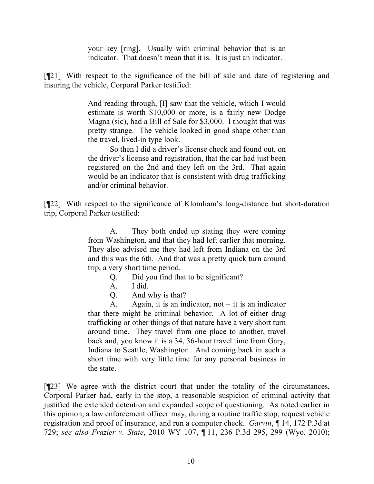your key [ring]. Usually with criminal behavior that is an indicator. That doesn't mean that it is. It is just an indicator.

[¶21] With respect to the significance of the bill of sale and date of registering and insuring the vehicle, Corporal Parker testified:

> And reading through, [I] saw that the vehicle, which I would estimate is worth \$10,000 or more, is a fairly new Dodge Magna (sic), had a Bill of Sale for \$3,000. I thought that was pretty strange. The vehicle looked in good shape other than the travel, lived-in type look.

> So then I did a driver's license check and found out, on the driver's license and registration, that the car had just been registered on the 2nd and they left on the 3rd. That again would be an indicator that is consistent with drug trafficking and/or criminal behavior.

[¶22] With respect to the significance of Klomliam's long-distance but short-duration trip, Corporal Parker testified:

> A. They both ended up stating they were coming from Washington, and that they had left earlier that morning. They also advised me they had left from Indiana on the 3rd and this was the 6th. And that was a pretty quick turn around trip, a very short time period.

- Q. Did you find that to be significant?
- A. I did.
- Q. And why is that?

A. Again, it is an indicator, not  $-$  it is an indicator that there might be criminal behavior. A lot of either drug trafficking or other things of that nature have a very short turn around time. They travel from one place to another, travel back and, you know it is a 34, 36-hour travel time from Gary, Indiana to Seattle, Washington. And coming back in such a short time with very little time for any personal business in the state.

[¶23] We agree with the district court that under the totality of the circumstances, Corporal Parker had, early in the stop, a reasonable suspicion of criminal activity that justified the extended detention and expanded scope of questioning. As noted earlier in this opinion, a law enforcement officer may, during a routine traffic stop, request vehicle registration and proof of insurance, and run a computer check. *Garvin*, ¶ 14, 172 P.3d at 729; *see also Frazier v. State*, 2010 WY 107, ¶ 11, 236 P.3d 295, 299 (Wyo. 2010);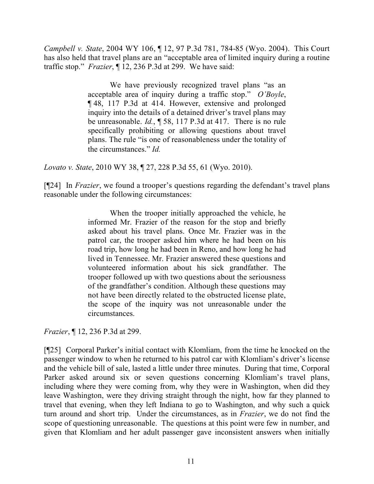*Campbell v. State*, 2004 WY 106, ¶ 12, 97 P.3d 781, 784-85 (Wyo. 2004). This Court has also held that travel plans are an "acceptable area of limited inquiry during a routine traffic stop." *Frazier*, ¶ 12, 236 P.3d at 299. We have said:

> We have previously recognized travel plans "as an acceptable area of inquiry during a traffic stop." *O'Boyle*, ¶ 48, 117 P.3d at 414. However, extensive and prolonged inquiry into the details of a detained driver's travel plans may be unreasonable. *Id.*, ¶ 58, 117 P.3d at 417. There is no rule specifically prohibiting or allowing questions about travel plans. The rule "is one of reasonableness under the totality of the circumstances." *Id.*

*Lovato v. State*, 2010 WY 38, ¶ 27, 228 P.3d 55, 61 (Wyo. 2010).

[¶24] In *Frazier*, we found a trooper's questions regarding the defendant's travel plans reasonable under the following circumstances:

> When the trooper initially approached the vehicle, he informed Mr. Frazier of the reason for the stop and briefly asked about his travel plans. Once Mr. Frazier was in the patrol car, the trooper asked him where he had been on his road trip, how long he had been in Reno, and how long he had lived in Tennessee. Mr. Frazier answered these questions and volunteered information about his sick grandfather. The trooper followed up with two questions about the seriousness of the grandfather's condition. Although these questions may not have been directly related to the obstructed license plate, the scope of the inquiry was not unreasonable under the circumstances.

*Frazier*, ¶ 12, 236 P.3d at 299.

[¶25] Corporal Parker's initial contact with Klomliam, from the time he knocked on the passenger window to when he returned to his patrol car with Klomliam's driver's license and the vehicle bill of sale, lasted a little under three minutes. During that time, Corporal Parker asked around six or seven questions concerning Klomliam's travel plans, including where they were coming from, why they were in Washington, when did they leave Washington, were they driving straight through the night, how far they planned to travel that evening, when they left Indiana to go to Washington, and why such a quick turn around and short trip. Under the circumstances, as in *Frazier*, we do not find the scope of questioning unreasonable. The questions at this point were few in number, and given that Klomliam and her adult passenger gave inconsistent answers when initially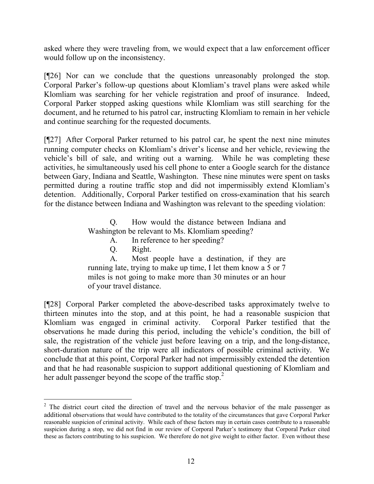asked where they were traveling from, we would expect that a law enforcement officer would follow up on the inconsistency.

[¶26] Nor can we conclude that the questions unreasonably prolonged the stop. Corporal Parker's follow-up questions about Klomliam's travel plans were asked while Klomliam was searching for her vehicle registration and proof of insurance. Indeed, Corporal Parker stopped asking questions while Klomliam was still searching for the document, and he returned to his patrol car, instructing Klomliam to remain in her vehicle and continue searching for the requested documents.

[¶27] After Corporal Parker returned to his patrol car, he spent the next nine minutes running computer checks on Klomliam's driver's license and her vehicle, reviewing the vehicle's bill of sale, and writing out a warning. While he was completing these activities, he simultaneously used his cell phone to enter a Google search for the distance between Gary, Indiana and Seattle, Washington. These nine minutes were spent on tasks permitted during a routine traffic stop and did not impermissibly extend Klomliam's detention. Additionally, Corporal Parker testified on cross-examination that his search for the distance between Indiana and Washington was relevant to the speeding violation:

> Q. How would the distance between Indiana and Washington be relevant to Ms. Klomliam speeding?

- A. In reference to her speeding?
- Q. Right.

A. Most people have a destination, if they are running late, trying to make up time, I let them know a 5 or 7 miles is not going to make more than 30 minutes or an hour of your travel distance.

[¶28] Corporal Parker completed the above-described tasks approximately twelve to thirteen minutes into the stop, and at this point, he had a reasonable suspicion that Klomliam was engaged in criminal activity. Corporal Parker testified that the observations he made during this period, including the vehicle's condition, the bill of sale, the registration of the vehicle just before leaving on a trip, and the long-distance, short-duration nature of the trip were all indicators of possible criminal activity. We conclude that at this point, Corporal Parker had not impermissibly extended the detention and that he had reasonable suspicion to support additional questioning of Klomliam and her adult passenger beyond the scope of the traffic stop.<sup>2</sup>

 $2$  The district court cited the direction of travel and the nervous behavior of the male passenger as additional observations that would have contributed to the totality of the circumstances that gave Corporal Parker reasonable suspicion of criminal activity. While each of these factors may in certain cases contribute to a reasonable suspicion during a stop, we did not find in our review of Corporal Parker's testimony that Corporal Parker cited these as factors contributing to his suspicion. We therefore do not give weight to either factor. Even without these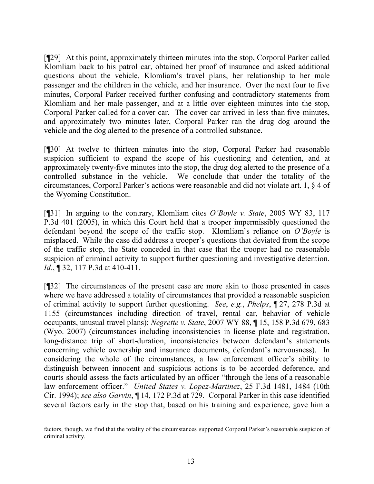[¶29] At this point, approximately thirteen minutes into the stop, Corporal Parker called Klomliam back to his patrol car, obtained her proof of insurance and asked additional questions about the vehicle, Klomliam's travel plans, her relationship to her male passenger and the children in the vehicle, and her insurance. Over the next four to five minutes, Corporal Parker received further confusing and contradictory statements from Klomliam and her male passenger, and at a little over eighteen minutes into the stop, Corporal Parker called for a cover car. The cover car arrived in less than five minutes, and approximately two minutes later, Corporal Parker ran the drug dog around the vehicle and the dog alerted to the presence of a controlled substance.

[¶30] At twelve to thirteen minutes into the stop, Corporal Parker had reasonable suspicion sufficient to expand the scope of his questioning and detention, and at approximately twenty-five minutes into the stop, the drug dog alerted to the presence of a controlled substance in the vehicle. We conclude that under the totality of the circumstances, Corporal Parker's actions were reasonable and did not violate art. 1, § 4 of the Wyoming Constitution.

[¶31] In arguing to the contrary, Klomliam cites *O'Boyle v. State*, 2005 WY 83, 117 P.3d 401 (2005), in which this Court held that a trooper impermissibly questioned the defendant beyond the scope of the traffic stop. Klomliam's reliance on *O'Boyle* is misplaced. While the case did address a trooper's questions that deviated from the scope of the traffic stop, the State conceded in that case that the trooper had no reasonable suspicion of criminal activity to support further questioning and investigative detention. *Id.*, ¶ 32, 117 P.3d at 410-411.

[¶32] The circumstances of the present case are more akin to those presented in cases where we have addressed a totality of circumstances that provided a reasonable suspicion of criminal activity to support further questioning. *See*, *e.g.*, *Phelps*, ¶ 27, 278 P.3d at 1155 (circumstances including direction of travel, rental car, behavior of vehicle occupants, unusual travel plans); *Negrette v. State*, 2007 WY 88, ¶ 15, 158 P.3d 679, 683 (Wyo. 2007) (circumstances including inconsistencies in license plate and registration, long-distance trip of short-duration, inconsistencies between defendant's statements concerning vehicle ownership and insurance documents, defendant's nervousness). In considering the whole of the circumstances, a law enforcement officer's ability to distinguish between innocent and suspicious actions is to be accorded deference, and courts should assess the facts articulated by an officer "through the lens of a reasonable law enforcement officer." *United States v. Lopez-Martinez*, 25 F.3d 1481, 1484 (10th Cir. 1994); *see also Garvin*, ¶ 14, 172 P.3d at 729. Corporal Parker in this case identified several factors early in the stop that, based on his training and experience, gave him a

 $\overline{a}$ 

factors, though, we find that the totality of the circumstances supported Corporal Parker's reasonable suspicion of criminal activity.